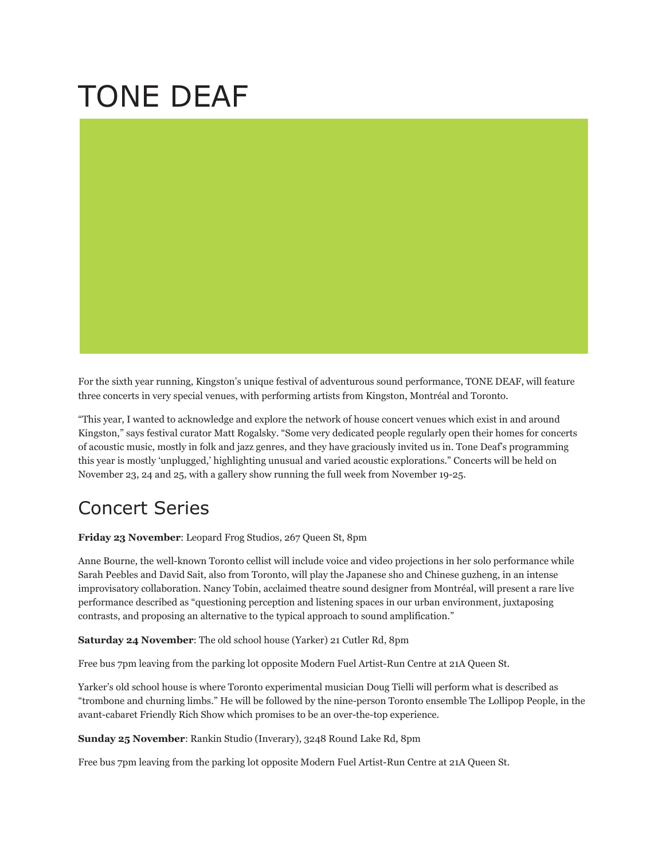## TONE DEAF

For the sixth year running, Kingston's unique festival of adventurous sound performance, TONE DEAF, will feature three concerts in very special venues, with performing artists from Kingston, Montréal and Toronto.

"This year, I wanted to acknowledge and explore the network of house concert venues which exist in and around Kingston," says festival curator Matt Rogalsky. "Some very dedicated people regularly open their homes for concerts of acoustic music, mostly in folk and jazz genres, and they have graciously invited us in. Tone Deaf's programming this year is mostly 'unplugged,' highlighting unusual and varied acoustic explorations." Concerts will be held on November 23, 24 and 25, with a gallery show running the full week from November 19-25.

## Concert Series

**Friday 23 November**: Leopard Frog Studios, 267 Queen St, 8pm

Anne Bourne, the well-known Toronto cellist will include voice and video projections in her solo performance while Sarah Peebles and David Sait, also from Toronto, will play the Japanese sho and Chinese guzheng, in an intense improvisatory collaboration. Nancy Tobin, acclaimed theatre sound designer from Montréal, will present a rare live performance described as "questioning perception and listening spaces in our urban environment, juxtaposing contrasts, and proposing an alternative to the typical approach to sound amplification."

**Saturday 24 November**: The old school house (Yarker) 21 Cutler Rd, 8pm

Free bus 7pm leaving from the parking lot opposite Modern Fuel Artist-Run Centre at 21A Queen St.

Yarker's old school house is where Toronto experimental musician Doug Tielli will perform what is described as "trombone and churning limbs." He will be followed by the nine-person Toronto ensemble The Lollipop People, in the avant-cabaret Friendly Rich Show which promises to be an over-the-top experience.

**Sunday 25 November**: Rankin Studio (Inverary), 3248 Round Lake Rd, 8pm

Free bus 7pm leaving from the parking lot opposite Modern Fuel Artist-Run Centre at 21A Queen St.